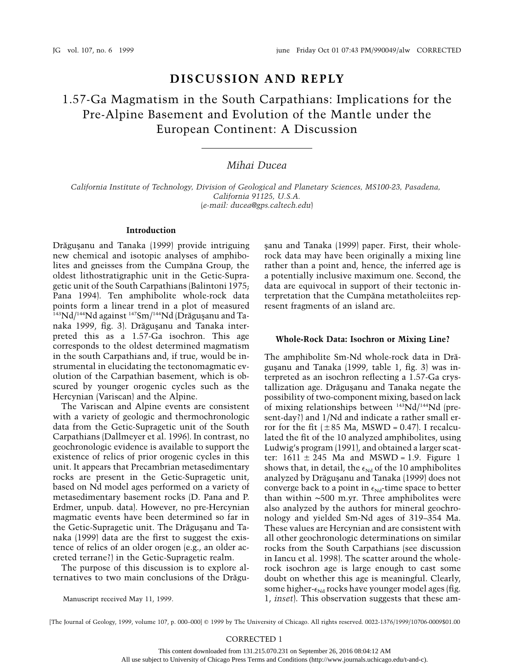## **DISCUSSION AND REPLY**

# 1.57-Ga Magmatism in the South Carpathians: Implications for the Pre-Alpine Basement and Evolution of the Mantle under the European Continent: A Discussion

### *Mihai Ducea*

*California Institute of Technology, Division of Geological and Planetary Sciences, MS100-23, Pasadena, California 91125, U.S.A.* (*e-mail: ducea@gps.caltech.edu*)

#### **Introduction**

Drăgușanu and Tanaka (1999) provide intriguing new chemical and isotopic analyses of amphibolites and gneisses from the Cumpăna Group, the oldest lithostratigraphic unit in the Getic-Supragetic unit of the South Carpathians (Balintoni 1975; Pana 1994). Ten amphibolite whole-rock data points form a linear trend in a plot of measured  $1^{143}$ Nd/<sup>144</sup>Nd against  $1^{147}$ Sm/ $1^{44}$ Nd (Drăguşanu and Tanaka 1999, fig. 3). Drăgușanu and Tanaka interpreted this as a 1.57-Ga isochron. This age corresponds to the oldest determined magmatism in the south Carpathians and, if true, would be instrumental in elucidating the tectonomagmatic evolution of the Carpathian basement, which is obscured by younger orogenic cycles such as the Hercynian (Variscan) and the Alpine.

The Variscan and Alpine events are consistent with a variety of geologic and thermochronologic data from the Getic-Supragetic unit of the South Carpathians (Dallmeyer et al. 1996). In contrast, no geochronologic evidence is available to support the existence of relics of prior orogenic cycles in this unit. It appears that Precambrian metasedimentary rocks are present in the Getic-Supragetic unit, based on Nd model ages performed on a variety of metasedimentary basement rocks (D. Pana and P. Erdmer, unpub. data). However, no pre-Hercynian magmatic events have been determined so far in the Getic-Supragetic unit. The Drăgușanu and Tanaka (1999) data are the first to suggest the existence of relics of an older orogen (e.g., an older accreted terrane?) in the Getic-Supragetic realm.

The purpose of this discussion is to explore alternatives to two main conclusions of the Drăgu-

Manuscript received May 11, 1999.

s¸anu and Tanaka (1999) paper. First, their wholerock data may have been originally a mixing line rather than a point and, hence, the inferred age is a potentially inclusive maximum one. Second, the data are equivocal in support of their tectonic interpretation that the Cumpăna metatholeiites represent fragments of an island arc.

#### **Whole-Rock Data: Isochron or Mixing Line?**

The amphibolite Sm-Nd whole-rock data in Drăgus¸anu and Tanaka (1999, table 1, fig. 3) was interpreted as an isochron reflecting a 1.57-Ga crystallization age. Drăguşanu and Tanaka negate the possibility of two-component mixing, based on lack of mixing relationships between <sup>143</sup>Nd/<sup>144</sup>Nd (present-day?) and 1/Nd and indicate a rather small error for the fit ( $\pm 85$  Ma, MSWD = 0.47). I recalculated the fit of the 10 analyzed amphibolites, using Ludwig's program (1991), and obtained a larger scatter:  $1611 \pm 245$  Ma and MSWD = 1.9. Figure 1 shows that, in detail, the  $\epsilon_{Nd}$  of the 10 amphibolites analyzed by Drăguşanu and Tanaka (1999) does not converge back to a point in  $\epsilon_{Nd}$ -time space to better than within ∼500 m.yr. Three amphibolites were also analyzed by the authors for mineral geochronology and yielded Sm-Nd ages of 319–354 Ma. These values are Hercynian and are consistent with all other geochronologic determinations on similar rocks from the South Carpathians (see discussion in Iancu et al. 1998). The scatter around the wholerock isochron age is large enough to cast some doubt on whether this age is meaningful. Clearly, some higher- $\epsilon_{Nd}$  rocks have younger model ages (fig. 1, *inset*). This observation suggests that these am-

This content downloaded from 131.215.070.231 on September 26, 2016 08:04:12 AM All use subject to University of Chicago Press Terms and Conditions (http://www.journals.uchicago.edu/t-and-c).

<sup>[</sup>The Journal of Geology, 1999, volume 107, p. 000–000] © 1999 by The University of Chicago. All rights reserved. 0022-1376/1999/10706-0009\$01.00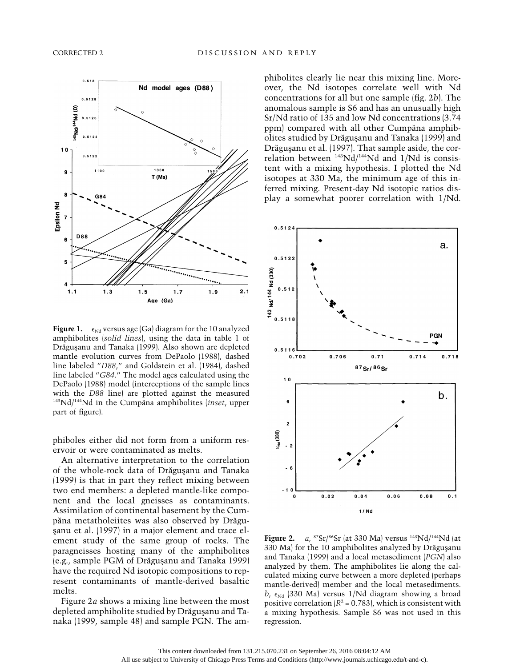

**Figure 1.**  $\epsilon_{Nd}$  versus age (Ga) diagram for the 10 analyzed amphibolites (*solid lines*), using the data in table 1 of Drăgușanu and Tanaka (1999). Also shown are depleted mantle evolution curves from DePaolo (1988), dashed line labeled "*D88*," and Goldstein et al. (1984), dashed line labeled "*G84*." The model ages calculated using the DePaolo (1988) model (interceptions of the sample lines with the *D88* line) are plotted against the measured <sup>143</sup>Nd/<sup>144</sup>Nd in the Cumpăna amphibolites (*inset*, upper part of figure).

phiboles either did not form from a uniform reservoir or were contaminated as melts.

An alternative interpretation to the correlation of the whole-rock data of Drăgușanu and Tanaka (1999) is that in part they reflect mixing between two end members: a depleted mantle-like component and the local gneisses as contaminants. Assimilation of continental basement by the Cumpăna metatholeiites was also observed by Drăgusanu et al. (1997) in a major element and trace element study of the same group of rocks. The paragneisses hosting many of the amphibolites (e.g., sample PGM of Drăgușanu and Tanaka 1999) have the required Nd isotopic compositions to represent contaminants of mantle-derived basaltic melts.

Figure 2*a* shows a mixing line between the most depleted amphibolite studied by Drăgusanu and Tanaka (1999, sample 48) and sample PGN. The amphibolites clearly lie near this mixing line. Moreover, the Nd isotopes correlate well with Nd concentrations for all but one sample (fig. 2*b*). The anomalous sample is S6 and has an unusually high Sr/Nd ratio of 135 and low Nd concentrations (3.74 ppm) compared with all other Cumpăna amphibolites studied by Drăgușanu and Tanaka (1999) and Drăgușanu et al. (1997). That sample aside, the correlation between  $^{143}Nd/^{144}Nd$  and  $1/Nd$  is consistent with a mixing hypothesis. I plotted the Nd isotopes at 330 Ma, the minimum age of this inferred mixing. Present-day Nd isotopic ratios display a somewhat poorer correlation with 1/Nd.



**Figure 2.** *a*,  ${}^{87}Sr/{}^{86}Sr$  (at 330 Ma) versus  ${}^{143}Nd/{}^{144}Nd$  (at 330 Ma) for the 10 amphibolites analyzed by Drăgusanu and Tanaka (1999) and a local metasediment (*PGN*) also analyzed by them. The amphibolites lie along the calculated mixing curve between a more depleted (perhaps mantle-derived) member and the local metasediments.  $b$ ,  $\epsilon_{Nd}$  (330 Ma) versus 1/Nd diagram showing a broad positive correlation  $(R^2 = 0.783)$ , which is consistent with a mixing hypothesis. Sample S6 was not used in this regression.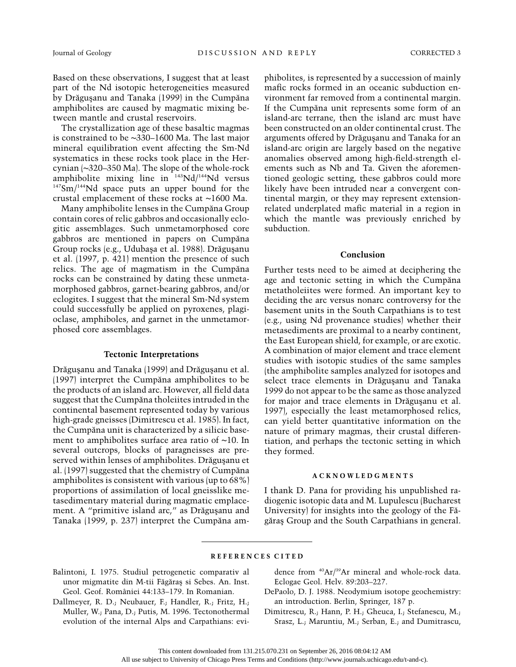Based on these observations, I suggest that at least part of the Nd isotopic heterogeneities measured by Drăgușanu and Tanaka (1999) in the Cumpăna amphibolites are caused by magmatic mixing between mantle and crustal reservoirs.

The crystallization age of these basaltic magmas is constrained to be ∼330–1600 Ma. The last major mineral equilibration event affecting the Sm-Nd systematics in these rocks took place in the Hercynian (∼320–350 Ma). The slope of the whole-rock amphibolite mixing line in  $143Nd/144Nd$  versus  $147$ Sm/ $144$ Nd space puts an upper bound for the crustal emplacement of these rocks at ∼1600 Ma.

Many amphibolite lenses in the Cumpăna Group contain cores of relic gabbros and occasionally eclogitic assemblages. Such unmetamorphosed core gabbros are mentioned in papers on Cumpăna Group rocks (e.g., Udubaşa et al. 1988). Drăguşanu et al. (1997, p. 421) mention the presence of such relics. The age of magmatism in the Cumpăna rocks can be constrained by dating these unmetamorphosed gabbros, garnet-bearing gabbros, and/or eclogites. I suggest that the mineral Sm-Nd system could successfully be applied on pyroxenes, plagioclase, amphiboles, and garnet in the unmetamorphosed core assemblages.

#### **Tectonic Interpretations**

Drăgușanu and Tanaka (1999) and Drăgușanu et al.  $(1997)$  interpret the Cumpana amphibolites to be the products of an island arc. However, all field data suggest that the Cumpăna tholeiites intruded in the continental basement represented today by various high-grade gneisses (Dimitrescu et al. 1985). In fact, the Cumpăna unit is characterized by a silicic basement to amphibolites surface area ratio of ∼10. In several outcrops, blocks of paragneisses are preserved within lenses of amphibolites. Drăgușanu et al. (1997) suggested that the chemistry of Cumpăna amphibolites is consistent with various (up to 68%) proportions of assimilation of local gneisslike metasedimentary material during magmatic emplacement. A "primitive island arc," as Drăgușanu and Tanaka (1999, p. 237) interpret the Cumpăna amphibolites, is represented by a succession of mainly mafic rocks formed in an oceanic subduction environment far removed from a continental margin. If the Cumpăna unit represents some form of an island-arc terrane, then the island arc must have been constructed on an older continental crust. The arguments offered by Drăgusanu and Tanaka for an island-arc origin are largely based on the negative anomalies observed among high-field-strength elements such as Nb and Ta. Given the aforementioned geologic setting, these gabbros could more likely have been intruded near a convergent continental margin, or they may represent extensionrelated underplated mafic material in a region in which the mantle was previously enriched by subduction.

#### **Conclusion**

Further tests need to be aimed at deciphering the age and tectonic setting in which the Cumpăna metatholeiites were formed. An important key to deciding the arc versus nonarc controversy for the basement units in the South Carpathians is to test (e.g., using Nd provenance studies) whether their metasediments are proximal to a nearby continent, the East European shield, for example, or are exotic. A combination of major element and trace element studies with isotopic studies of the same samples (the amphibolite samples analyzed for isotopes and select trace elements in Drăgușanu and Tanaka 1999 do not appear to be the same as those analyzed for major and trace elements in Drăgușanu et al. 1997), especially the least metamorphosed relics, can yield better quantitative information on the nature of primary magmas, their crustal differentiation, and perhaps the tectonic setting in which they formed.

#### **ACKNOWLEDGMENTS**

I thank D. Pana for providing his unpublished radiogenic isotopic data and M. Lupulescu (Bucharest University) for insights into the geology of the F<sub>a</sub><sup>-</sup> găraș Group and the South Carpathians in general.

#### **REFERENCES CITED**

- Balintoni, I. 1975. Studiul petrogenetic comparativ al unor migmatite din M-tii Făgăraș si Sebes. An. Inst. Geol. Geof. României 44:133-179. In Romanian.
- Dallmeyer, R. D.; Neubauer, F.; Handler, R.; Fritz, H.; Muller, W.; Pana, D.; Putis, M. 1996. Tectonothermal evolution of the internal Alps and Carpathians: evi-

dence from 40Ar/39Ar mineral and whole-rock data. Eclogae Geol. Helv. 89:203–227.

- DePaolo, D. J. 1988. Neodymium isotope geochemistry: an introduction. Berlin, Springer, 187 p.
- Dimitrescu, R.; Hann, P. H.; Gheuca, I.; Stefanescu, M.; Srasz, L.; Maruntiu, M.; Serban, E.; and Dumitrascu,